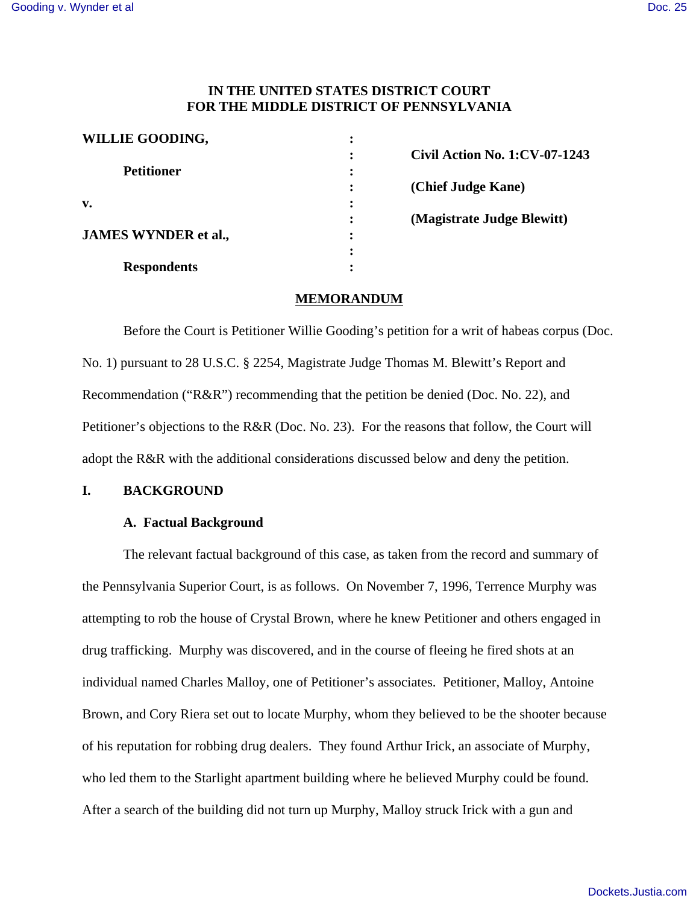## **IN THE UNITED STATES DISTRICT COURT FOR THE MIDDLE DISTRICT OF PENNSYLVANIA**

| <b>WILLIE GOODING,</b>      | ٠                      |                                      |
|-----------------------------|------------------------|--------------------------------------|
|                             |                        | <b>Civil Action No. 1:CV-07-1243</b> |
| <b>Petitioner</b>           | $\bullet$<br>$\bullet$ |                                      |
|                             |                        | (Chief Judge Kane)                   |
| v.                          |                        |                                      |
|                             |                        | (Magistrate Judge Blewitt)           |
| <b>JAMES WYNDER et al.,</b> | ٠                      |                                      |
|                             | ٠                      |                                      |
| <b>Respondents</b>          |                        |                                      |

#### **MEMORANDUM**

Before the Court is Petitioner Willie Gooding's petition for a writ of habeas corpus (Doc. No. 1) pursuant to 28 U.S.C. § 2254, Magistrate Judge Thomas M. Blewitt's Report and Recommendation ("R&R") recommending that the petition be denied (Doc. No. 22), and Petitioner's objections to the R&R (Doc. No. 23). For the reasons that follow, the Court will adopt the R&R with the additional considerations discussed below and deny the petition.

## **I. BACKGROUND**

#### **A. Factual Background**

The relevant factual background of this case, as taken from the record and summary of the Pennsylvania Superior Court, is as follows. On November 7, 1996, Terrence Murphy was attempting to rob the house of Crystal Brown, where he knew Petitioner and others engaged in drug trafficking. Murphy was discovered, and in the course of fleeing he fired shots at an individual named Charles Malloy, one of Petitioner's associates. Petitioner, Malloy, Antoine Brown, and Cory Riera set out to locate Murphy, whom they believed to be the shooter because of his reputation for robbing drug dealers. They found Arthur Irick, an associate of Murphy, who led them to the Starlight apartment building where he believed Murphy could be found. After a search of the building did not turn up Murphy, Malloy struck Irick with a gun and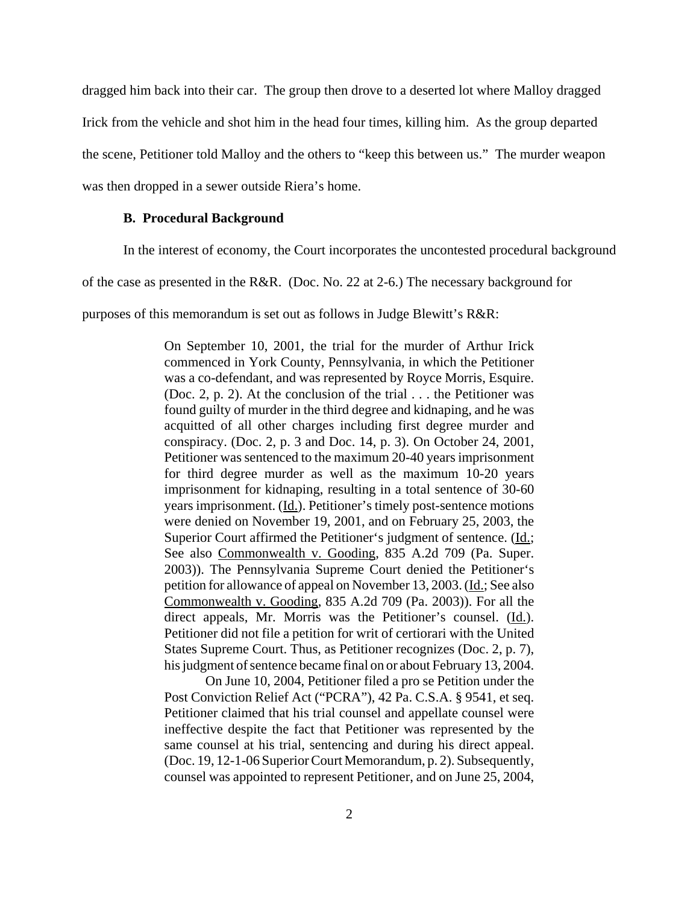dragged him back into their car. The group then drove to a deserted lot where Malloy dragged Irick from the vehicle and shot him in the head four times, killing him. As the group departed the scene, Petitioner told Malloy and the others to "keep this between us." The murder weapon was then dropped in a sewer outside Riera's home.

#### **B. Procedural Background**

In the interest of economy, the Court incorporates the uncontested procedural background

of the case as presented in the R&R. (Doc. No. 22 at 2-6.) The necessary background for

purposes of this memorandum is set out as follows in Judge Blewitt's R&R:

On September 10, 2001, the trial for the murder of Arthur Irick commenced in York County, Pennsylvania, in which the Petitioner was a co-defendant, and was represented by Royce Morris, Esquire. (Doc. 2, p. 2). At the conclusion of the trial . . . the Petitioner was found guilty of murder in the third degree and kidnaping, and he was acquitted of all other charges including first degree murder and conspiracy. (Doc. 2, p. 3 and Doc. 14, p. 3). On October 24, 2001, Petitioner was sentenced to the maximum 20-40 years imprisonment for third degree murder as well as the maximum 10-20 years imprisonment for kidnaping, resulting in a total sentence of 30-60 years imprisonment. (Id.). Petitioner's timely post-sentence motions were denied on November 19, 2001, and on February 25, 2003, the Superior Court affirmed the Petitioner's judgment of sentence. (Id.; See also Commonwealth v. Gooding, 835 A.2d 709 (Pa. Super. 2003)). The Pennsylvania Supreme Court denied the Petitioner's petition for allowance of appeal on November 13, 2003. (Id.; See also Commonwealth v. Gooding, 835 A.2d 709 (Pa. 2003)). For all the direct appeals, Mr. Morris was the Petitioner's counsel. (Id.). Petitioner did not file a petition for writ of certiorari with the United States Supreme Court. Thus, as Petitioner recognizes (Doc. 2, p. 7), his judgment of sentence became final on or about February 13, 2004.

On June 10, 2004, Petitioner filed a pro se Petition under the Post Conviction Relief Act ("PCRA"), 42 Pa. C.S.A. § 9541, et seq. Petitioner claimed that his trial counsel and appellate counsel were ineffective despite the fact that Petitioner was represented by the same counsel at his trial, sentencing and during his direct appeal. (Doc. 19, 12-1-06 Superior Court Memorandum, p. 2). Subsequently, counsel was appointed to represent Petitioner, and on June 25, 2004,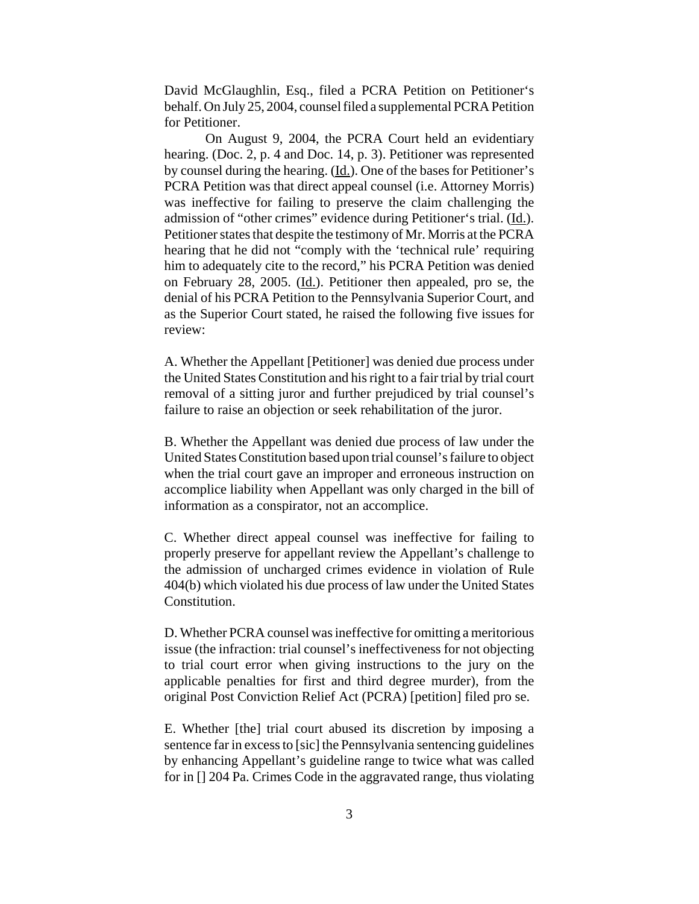David McGlaughlin, Esq., filed a PCRA Petition on Petitioner's behalf. On July 25, 2004, counsel filed a supplemental PCRA Petition for Petitioner.

On August 9, 2004, the PCRA Court held an evidentiary hearing. (Doc. 2, p. 4 and Doc. 14, p. 3). Petitioner was represented by counsel during the hearing. (Id.). One of the bases for Petitioner's PCRA Petition was that direct appeal counsel (i.e. Attorney Morris) was ineffective for failing to preserve the claim challenging the admission of "other crimes" evidence during Petitioner's trial. (Id.). Petitioner states that despite the testimony of Mr. Morris at the PCRA hearing that he did not "comply with the 'technical rule' requiring him to adequately cite to the record," his PCRA Petition was denied on February 28, 2005. (Id.). Petitioner then appealed, pro se, the denial of his PCRA Petition to the Pennsylvania Superior Court, and as the Superior Court stated, he raised the following five issues for review:

A. Whether the Appellant [Petitioner] was denied due process under the United States Constitution and his right to a fair trial by trial court removal of a sitting juror and further prejudiced by trial counsel's failure to raise an objection or seek rehabilitation of the juror.

B. Whether the Appellant was denied due process of law under the United States Constitution based upon trial counsel's failure to object when the trial court gave an improper and erroneous instruction on accomplice liability when Appellant was only charged in the bill of information as a conspirator, not an accomplice.

C. Whether direct appeal counsel was ineffective for failing to properly preserve for appellant review the Appellant's challenge to the admission of uncharged crimes evidence in violation of Rule 404(b) which violated his due process of law under the United States Constitution.

D. Whether PCRA counsel was ineffective for omitting a meritorious issue (the infraction: trial counsel's ineffectiveness for not objecting to trial court error when giving instructions to the jury on the applicable penalties for first and third degree murder), from the original Post Conviction Relief Act (PCRA) [petition] filed pro se.

E. Whether [the] trial court abused its discretion by imposing a sentence far in excess to [sic] the Pennsylvania sentencing guidelines by enhancing Appellant's guideline range to twice what was called for in [] 204 Pa. Crimes Code in the aggravated range, thus violating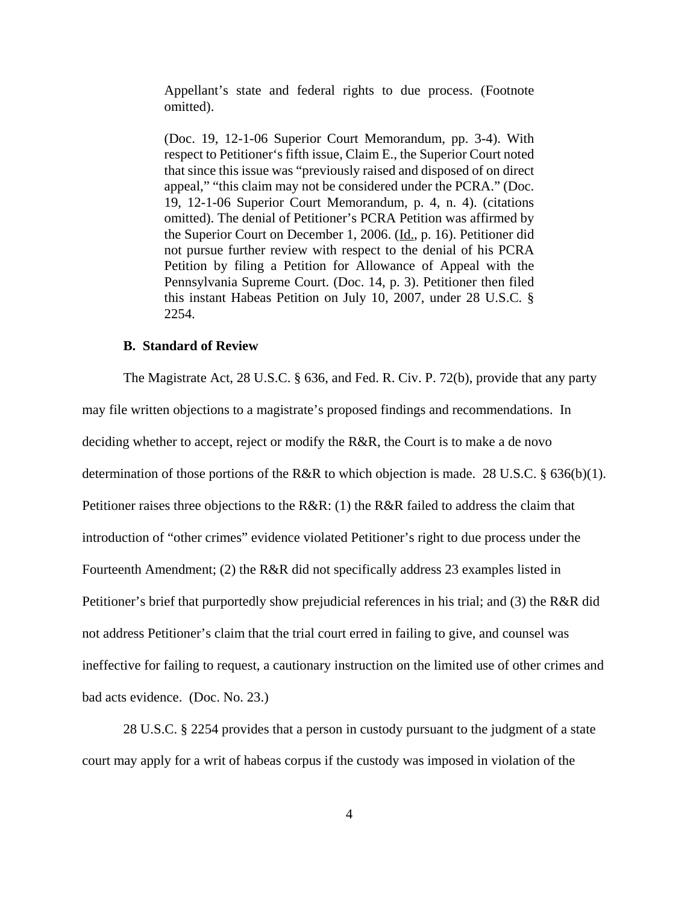Appellant's state and federal rights to due process. (Footnote omitted).

(Doc. 19, 12-1-06 Superior Court Memorandum, pp. 3-4). With respect to Petitioner's fifth issue, Claim E., the Superior Court noted that since this issue was "previously raised and disposed of on direct appeal," "this claim may not be considered under the PCRA." (Doc. 19, 12-1-06 Superior Court Memorandum, p. 4, n. 4). (citations omitted). The denial of Petitioner's PCRA Petition was affirmed by the Superior Court on December 1, 2006. (Id., p. 16). Petitioner did not pursue further review with respect to the denial of his PCRA Petition by filing a Petition for Allowance of Appeal with the Pennsylvania Supreme Court. (Doc. 14, p. 3). Petitioner then filed this instant Habeas Petition on July 10, 2007, under 28 U.S.C. § 2254.

#### **B. Standard of Review**

The Magistrate Act, 28 U.S.C. § 636, and Fed. R. Civ. P. 72(b), provide that any party may file written objections to a magistrate's proposed findings and recommendations. In deciding whether to accept, reject or modify the R&R, the Court is to make a de novo determination of those portions of the R&R to which objection is made. 28 U.S.C. § 636(b)(1). Petitioner raises three objections to the R&R: (1) the R&R failed to address the claim that introduction of "other crimes" evidence violated Petitioner's right to due process under the Fourteenth Amendment; (2) the R&R did not specifically address 23 examples listed in Petitioner's brief that purportedly show prejudicial references in his trial; and (3) the R&R did not address Petitioner's claim that the trial court erred in failing to give, and counsel was ineffective for failing to request, a cautionary instruction on the limited use of other crimes and bad acts evidence. (Doc. No. 23.)

28 U.S.C. § 2254 provides that a person in custody pursuant to the judgment of a state court may apply for a writ of habeas corpus if the custody was imposed in violation of the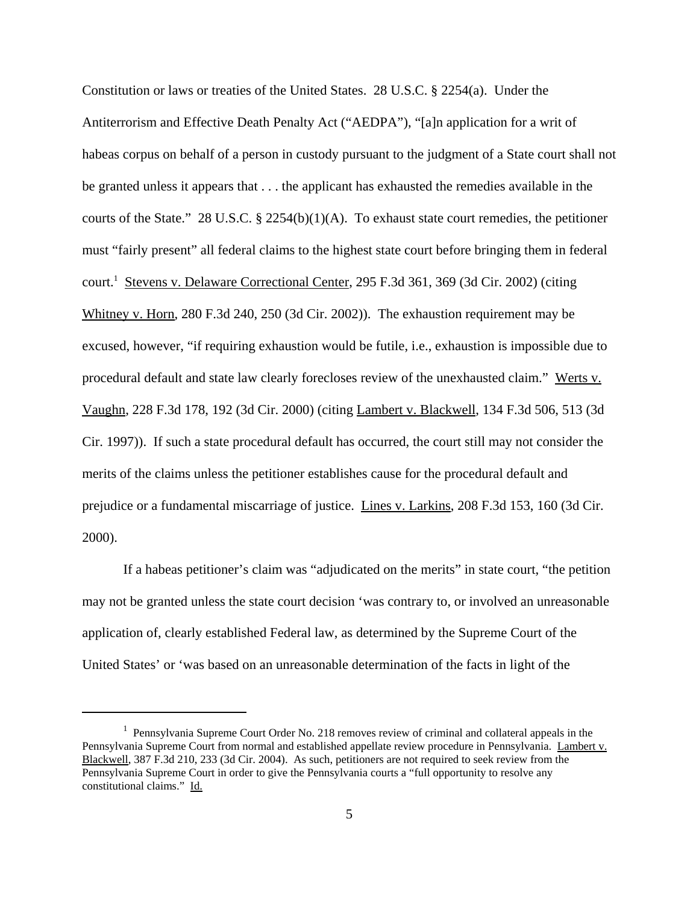Constitution or laws or treaties of the United States. 28 U.S.C. § 2254(a). Under the Antiterrorism and Effective Death Penalty Act ("AEDPA"), "[a]n application for a writ of habeas corpus on behalf of a person in custody pursuant to the judgment of a State court shall not be granted unless it appears that . . . the applicant has exhausted the remedies available in the courts of the State." 28 U.S.C. § 2254(b)(1)(A). To exhaust state court remedies, the petitioner must "fairly present" all federal claims to the highest state court before bringing them in federal court.<sup>1</sup> Stevens v. Delaware Correctional Center, 295 F.3d 361, 369 (3d Cir. 2002) (citing Whitney v. Horn, 280 F.3d 240, 250 (3d Cir. 2002)). The exhaustion requirement may be excused, however, "if requiring exhaustion would be futile, i.e., exhaustion is impossible due to procedural default and state law clearly forecloses review of the unexhausted claim." Werts v. Vaughn, 228 F.3d 178, 192 (3d Cir. 2000) (citing Lambert v. Blackwell, 134 F.3d 506, 513 (3d Cir. 1997)). If such a state procedural default has occurred, the court still may not consider the merits of the claims unless the petitioner establishes cause for the procedural default and prejudice or a fundamental miscarriage of justice. Lines v. Larkins, 208 F.3d 153, 160 (3d Cir. 2000).

If a habeas petitioner's claim was "adjudicated on the merits" in state court, "the petition may not be granted unless the state court decision 'was contrary to, or involved an unreasonable application of, clearly established Federal law, as determined by the Supreme Court of the United States' or 'was based on an unreasonable determination of the facts in light of the

<sup>&</sup>lt;sup>1</sup> Pennsylvania Supreme Court Order No. 218 removes review of criminal and collateral appeals in the Pennsylvania Supreme Court from normal and established appellate review procedure in Pennsylvania. Lambert v. Blackwell, 387 F.3d 210, 233 (3d Cir. 2004). As such, petitioners are not required to seek review from the Pennsylvania Supreme Court in order to give the Pennsylvania courts a "full opportunity to resolve any constitutional claims." Id.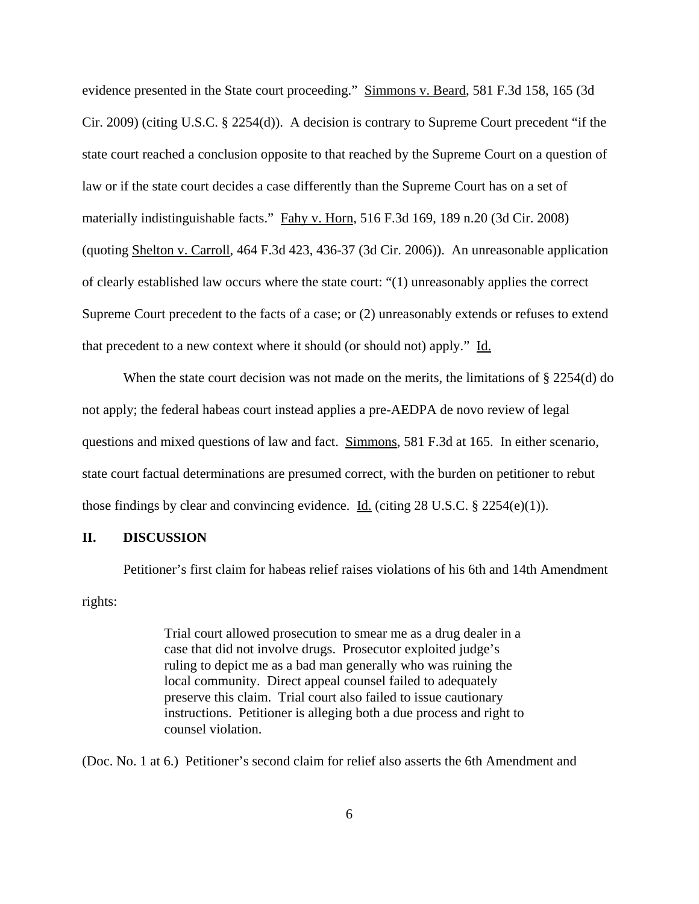evidence presented in the State court proceeding." Simmons v. Beard, 581 F.3d 158, 165 (3d Cir. 2009) (citing U.S.C. § 2254(d)). A decision is contrary to Supreme Court precedent "if the state court reached a conclusion opposite to that reached by the Supreme Court on a question of law or if the state court decides a case differently than the Supreme Court has on a set of materially indistinguishable facts." Fahy v. Horn, 516 F.3d 169, 189 n.20 (3d Cir. 2008) (quoting Shelton v. Carroll, 464 F.3d 423, 436-37 (3d Cir. 2006)). An unreasonable application of clearly established law occurs where the state court: "(1) unreasonably applies the correct Supreme Court precedent to the facts of a case; or (2) unreasonably extends or refuses to extend that precedent to a new context where it should (or should not) apply." Id.

When the state court decision was not made on the merits, the limitations of  $\S 2254(d)$  do not apply; the federal habeas court instead applies a pre-AEDPA de novo review of legal questions and mixed questions of law and fact. Simmons, 581 F.3d at 165. In either scenario, state court factual determinations are presumed correct, with the burden on petitioner to rebut those findings by clear and convincing evidence. Id. (citing  $28 \text{ U.S.C.}$  §  $2254(e)(1)$ ).

#### **II. DISCUSSION**

Petitioner's first claim for habeas relief raises violations of his 6th and 14th Amendment rights:

> Trial court allowed prosecution to smear me as a drug dealer in a case that did not involve drugs. Prosecutor exploited judge's ruling to depict me as a bad man generally who was ruining the local community. Direct appeal counsel failed to adequately preserve this claim. Trial court also failed to issue cautionary instructions. Petitioner is alleging both a due process and right to counsel violation.

(Doc. No. 1 at 6.) Petitioner's second claim for relief also asserts the 6th Amendment and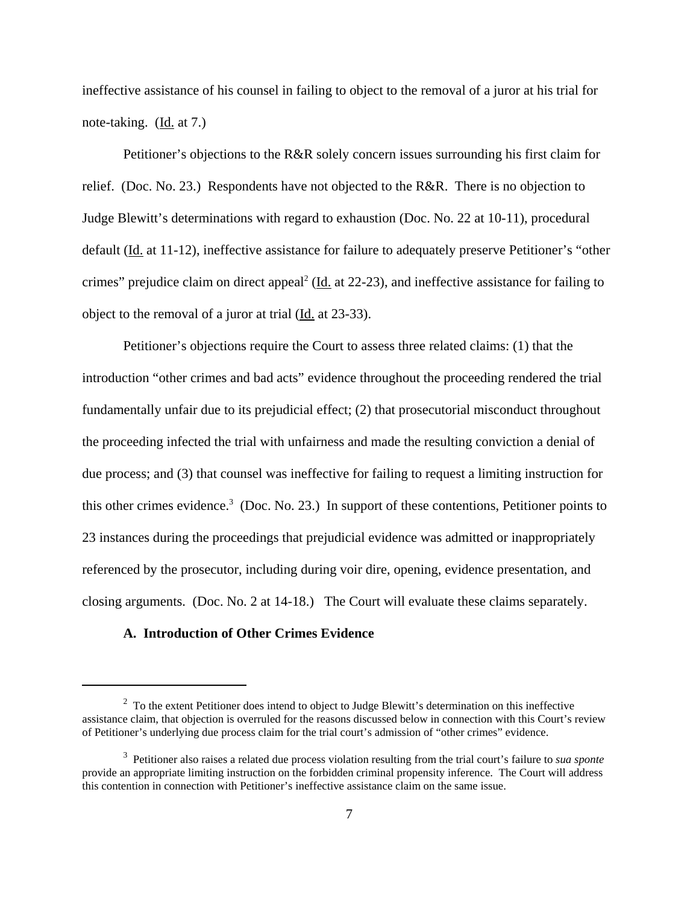ineffective assistance of his counsel in failing to object to the removal of a juror at his trial for note-taking. (Id. at 7.)

Petitioner's objections to the R&R solely concern issues surrounding his first claim for relief. (Doc. No. 23.) Respondents have not objected to the R&R. There is no objection to Judge Blewitt's determinations with regard to exhaustion (Doc. No. 22 at 10-11), procedural default (Id. at 11-12), ineffective assistance for failure to adequately preserve Petitioner's "other crimes" prejudice claim on direct appeal<sup>2</sup> (Id. at 22-23), and ineffective assistance for failing to object to the removal of a juror at trial (Id. at 23-33).

Petitioner's objections require the Court to assess three related claims: (1) that the introduction "other crimes and bad acts" evidence throughout the proceeding rendered the trial fundamentally unfair due to its prejudicial effect; (2) that prosecutorial misconduct throughout the proceeding infected the trial with unfairness and made the resulting conviction a denial of due process; and (3) that counsel was ineffective for failing to request a limiting instruction for this other crimes evidence.<sup>3</sup> (Doc. No. 23.) In support of these contentions, Petitioner points to 23 instances during the proceedings that prejudicial evidence was admitted or inappropriately referenced by the prosecutor, including during voir dire, opening, evidence presentation, and closing arguments. (Doc. No. 2 at 14-18.) The Court will evaluate these claims separately.

#### **A. Introduction of Other Crimes Evidence**

 $2^2$  To the extent Petitioner does intend to object to Judge Blewitt's determination on this ineffective assistance claim, that objection is overruled for the reasons discussed below in connection with this Court's review of Petitioner's underlying due process claim for the trial court's admission of "other crimes" evidence.

<sup>3</sup> Petitioner also raises a related due process violation resulting from the trial court's failure to *sua sponte* provide an appropriate limiting instruction on the forbidden criminal propensity inference. The Court will address this contention in connection with Petitioner's ineffective assistance claim on the same issue.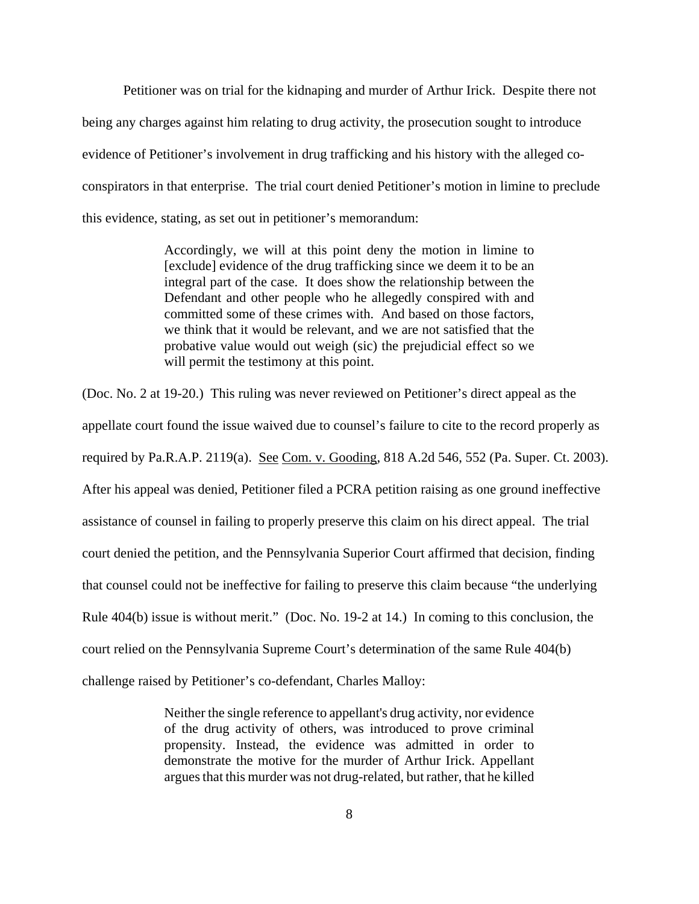Petitioner was on trial for the kidnaping and murder of Arthur Irick. Despite there not being any charges against him relating to drug activity, the prosecution sought to introduce evidence of Petitioner's involvement in drug trafficking and his history with the alleged coconspirators in that enterprise. The trial court denied Petitioner's motion in limine to preclude this evidence, stating, as set out in petitioner's memorandum:

> Accordingly, we will at this point deny the motion in limine to [exclude] evidence of the drug trafficking since we deem it to be an integral part of the case. It does show the relationship between the Defendant and other people who he allegedly conspired with and committed some of these crimes with. And based on those factors, we think that it would be relevant, and we are not satisfied that the probative value would out weigh (sic) the prejudicial effect so we will permit the testimony at this point.

(Doc. No. 2 at 19-20.) This ruling was never reviewed on Petitioner's direct appeal as the appellate court found the issue waived due to counsel's failure to cite to the record properly as required by Pa.R.A.P. 2119(a). See Com. v. Gooding, 818 A.2d 546, 552 (Pa. Super. Ct. 2003). After his appeal was denied, Petitioner filed a PCRA petition raising as one ground ineffective assistance of counsel in failing to properly preserve this claim on his direct appeal. The trial court denied the petition, and the Pennsylvania Superior Court affirmed that decision, finding that counsel could not be ineffective for failing to preserve this claim because "the underlying Rule 404(b) issue is without merit." (Doc. No. 19-2 at 14.) In coming to this conclusion, the court relied on the Pennsylvania Supreme Court's determination of the same Rule 404(b) challenge raised by Petitioner's co-defendant, Charles Malloy:

> Neither the single reference to appellant's drug activity, nor evidence of the drug activity of others, was introduced to prove criminal propensity. Instead, the evidence was admitted in order to demonstrate the motive for the murder of Arthur Irick. Appellant argues that this murder was not drug-related, but rather, that he killed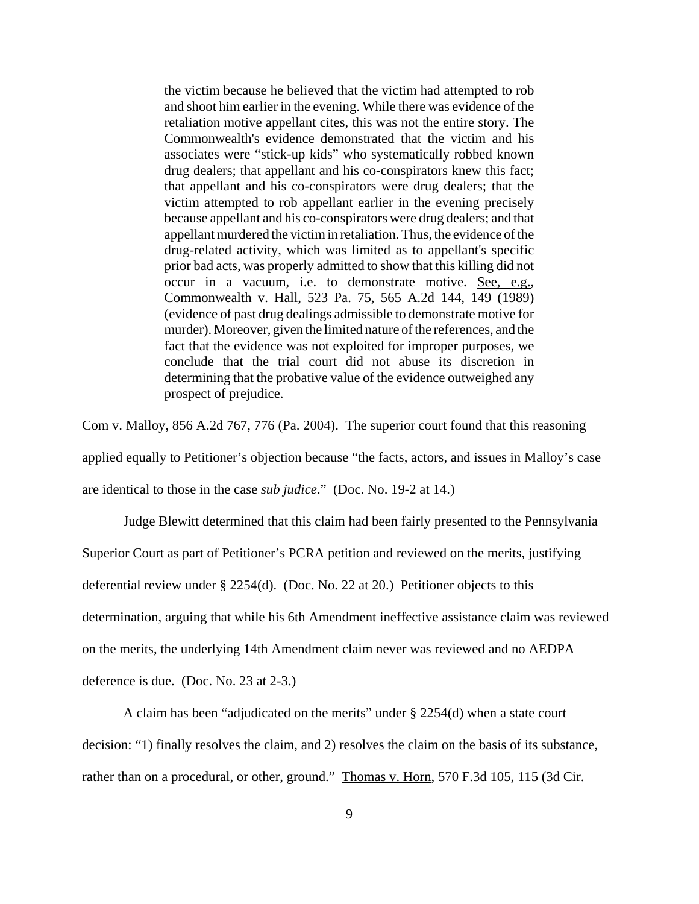the victim because he believed that the victim had attempted to rob and shoot him earlier in the evening. While there was evidence of the retaliation motive appellant cites, this was not the entire story. The Commonwealth's evidence demonstrated that the victim and his associates were "stick-up kids" who systematically robbed known drug dealers; that appellant and his co-conspirators knew this fact; that appellant and his co-conspirators were drug dealers; that the victim attempted to rob appellant earlier in the evening precisely because appellant and his co-conspirators were drug dealers; and that appellant murdered the victim in retaliation. Thus, the evidence of the drug-related activity, which was limited as to appellant's specific prior bad acts, was properly admitted to show that this killing did not occur in a vacuum, i.e. to demonstrate motive. See, e.g., Commonwealth v. Hall, 523 Pa. 75, 565 A.2d 144, 149 (1989) (evidence of past drug dealings admissible to demonstrate motive for murder). Moreover, given the limited nature of the references, and the fact that the evidence was not exploited for improper purposes, we conclude that the trial court did not abuse its discretion in determining that the probative value of the evidence outweighed any prospect of prejudice.

Com v. Malloy, 856 A.2d 767, 776 (Pa. 2004). The superior court found that this reasoning

applied equally to Petitioner's objection because "the facts, actors, and issues in Malloy's case

are identical to those in the case *sub judice*." (Doc. No. 19-2 at 14.)

Judge Blewitt determined that this claim had been fairly presented to the Pennsylvania

Superior Court as part of Petitioner's PCRA petition and reviewed on the merits, justifying

deferential review under § 2254(d). (Doc. No. 22 at 20.) Petitioner objects to this

determination, arguing that while his 6th Amendment ineffective assistance claim was reviewed

on the merits, the underlying 14th Amendment claim never was reviewed and no AEDPA

deference is due. (Doc. No. 23 at 2-3.)

A claim has been "adjudicated on the merits" under § 2254(d) when a state court

decision: "1) finally resolves the claim, and 2) resolves the claim on the basis of its substance,

rather than on a procedural, or other, ground." Thomas v. Horn, 570 F.3d 105, 115 (3d Cir.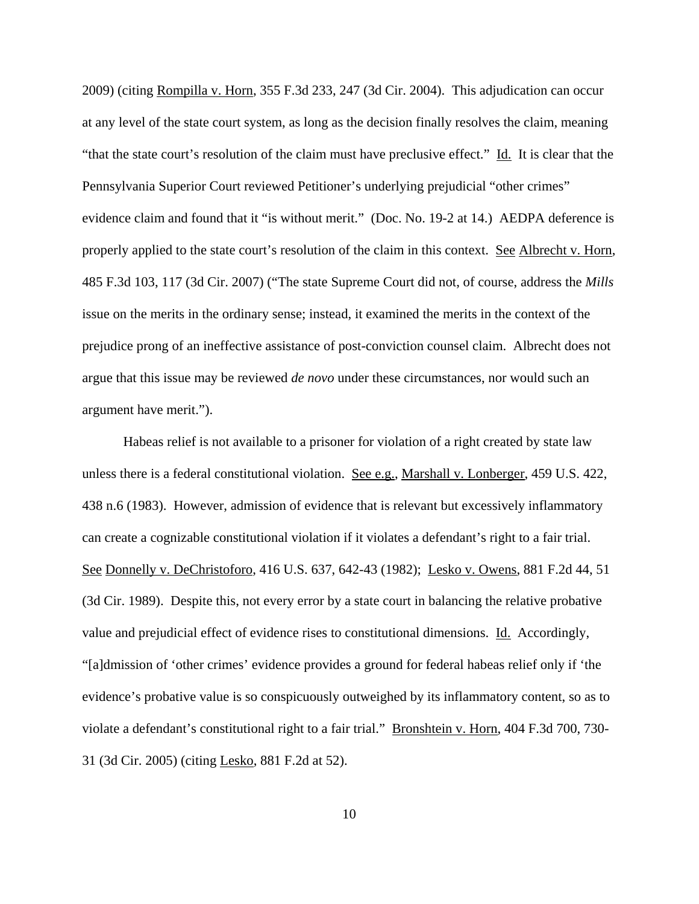2009) (citing Rompilla v. Horn, 355 F.3d 233, 247 (3d Cir. 2004). This adjudication can occur at any level of the state court system, as long as the decision finally resolves the claim, meaning "that the state court's resolution of the claim must have preclusive effect." Id. It is clear that the Pennsylvania Superior Court reviewed Petitioner's underlying prejudicial "other crimes" evidence claim and found that it "is without merit." (Doc. No. 19-2 at 14.) AEDPA deference is properly applied to the state court's resolution of the claim in this context. See Albrecht v. Horn, 485 F.3d 103, 117 (3d Cir. 2007) ("The state Supreme Court did not, of course, address the *Mills* issue on the merits in the ordinary sense; instead, it examined the merits in the context of the prejudice prong of an ineffective assistance of post-conviction counsel claim. Albrecht does not argue that this issue may be reviewed *de novo* under these circumstances, nor would such an argument have merit.").

Habeas relief is not available to a prisoner for violation of a right created by state law unless there is a federal constitutional violation. See e.g., Marshall v. Lonberger, 459 U.S. 422, 438 n.6 (1983). However, admission of evidence that is relevant but excessively inflammatory can create a cognizable constitutional violation if it violates a defendant's right to a fair trial. See Donnelly v. DeChristoforo, 416 U.S. 637, 642-43 (1982); Lesko v. Owens, 881 F.2d 44, 51 (3d Cir. 1989). Despite this, not every error by a state court in balancing the relative probative value and prejudicial effect of evidence rises to constitutional dimensions. Id. Accordingly, "[a]dmission of 'other crimes' evidence provides a ground for federal habeas relief only if 'the evidence's probative value is so conspicuously outweighed by its inflammatory content, so as to violate a defendant's constitutional right to a fair trial." Bronshtein v. Horn, 404 F.3d 700, 730- 31 (3d Cir. 2005) (citing Lesko, 881 F.2d at 52).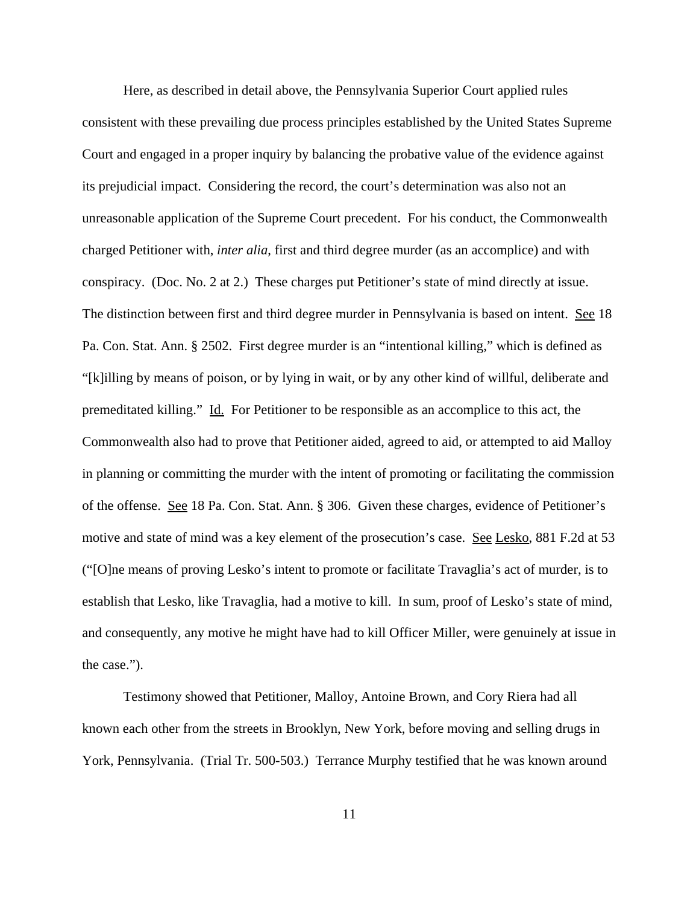Here, as described in detail above, the Pennsylvania Superior Court applied rules consistent with these prevailing due process principles established by the United States Supreme Court and engaged in a proper inquiry by balancing the probative value of the evidence against its prejudicial impact. Considering the record, the court's determination was also not an unreasonable application of the Supreme Court precedent. For his conduct, the Commonwealth charged Petitioner with, *inter alia*, first and third degree murder (as an accomplice) and with conspiracy. (Doc. No. 2 at 2.) These charges put Petitioner's state of mind directly at issue. The distinction between first and third degree murder in Pennsylvania is based on intent. See 18 Pa. Con. Stat. Ann. § 2502. First degree murder is an "intentional killing," which is defined as "[k]illing by means of poison, or by lying in wait, or by any other kind of willful, deliberate and premeditated killing." Id. For Petitioner to be responsible as an accomplice to this act, the Commonwealth also had to prove that Petitioner aided, agreed to aid, or attempted to aid Malloy in planning or committing the murder with the intent of promoting or facilitating the commission of the offense. See 18 Pa. Con. Stat. Ann. § 306. Given these charges, evidence of Petitioner's motive and state of mind was a key element of the prosecution's case. See Lesko, 881 F.2d at 53 ("[O]ne means of proving Lesko's intent to promote or facilitate Travaglia's act of murder, is to establish that Lesko, like Travaglia, had a motive to kill. In sum, proof of Lesko's state of mind, and consequently, any motive he might have had to kill Officer Miller, were genuinely at issue in the case.").

Testimony showed that Petitioner, Malloy, Antoine Brown, and Cory Riera had all known each other from the streets in Brooklyn, New York, before moving and selling drugs in York, Pennsylvania. (Trial Tr. 500-503.) Terrance Murphy testified that he was known around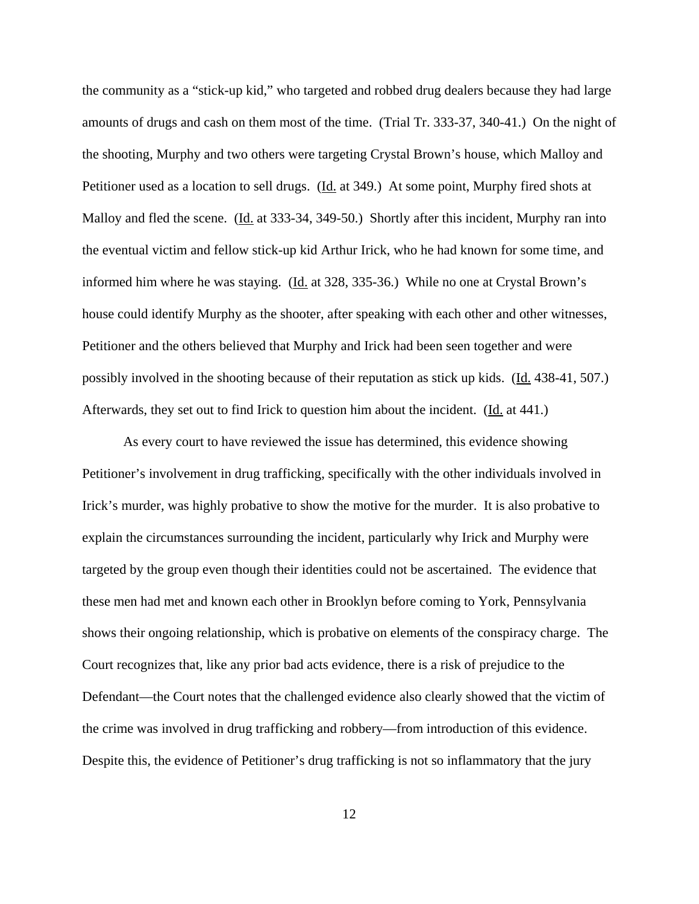the community as a "stick-up kid," who targeted and robbed drug dealers because they had large amounts of drugs and cash on them most of the time. (Trial Tr. 333-37, 340-41.) On the night of the shooting, Murphy and two others were targeting Crystal Brown's house, which Malloy and Petitioner used as a location to sell drugs. (Id. at 349.) At some point, Murphy fired shots at Malloy and fled the scene. (Id. at 333-34, 349-50.) Shortly after this incident, Murphy ran into the eventual victim and fellow stick-up kid Arthur Irick, who he had known for some time, and informed him where he was staying. (Id. at 328, 335-36.) While no one at Crystal Brown's house could identify Murphy as the shooter, after speaking with each other and other witnesses, Petitioner and the others believed that Murphy and Irick had been seen together and were possibly involved in the shooting because of their reputation as stick up kids. (Id. 438-41, 507.) Afterwards, they set out to find Irick to question him about the incident. (Id. at 441.)

As every court to have reviewed the issue has determined, this evidence showing Petitioner's involvement in drug trafficking, specifically with the other individuals involved in Irick's murder, was highly probative to show the motive for the murder. It is also probative to explain the circumstances surrounding the incident, particularly why Irick and Murphy were targeted by the group even though their identities could not be ascertained. The evidence that these men had met and known each other in Brooklyn before coming to York, Pennsylvania shows their ongoing relationship, which is probative on elements of the conspiracy charge. The Court recognizes that, like any prior bad acts evidence, there is a risk of prejudice to the Defendant—the Court notes that the challenged evidence also clearly showed that the victim of the crime was involved in drug trafficking and robbery—from introduction of this evidence. Despite this, the evidence of Petitioner's drug trafficking is not so inflammatory that the jury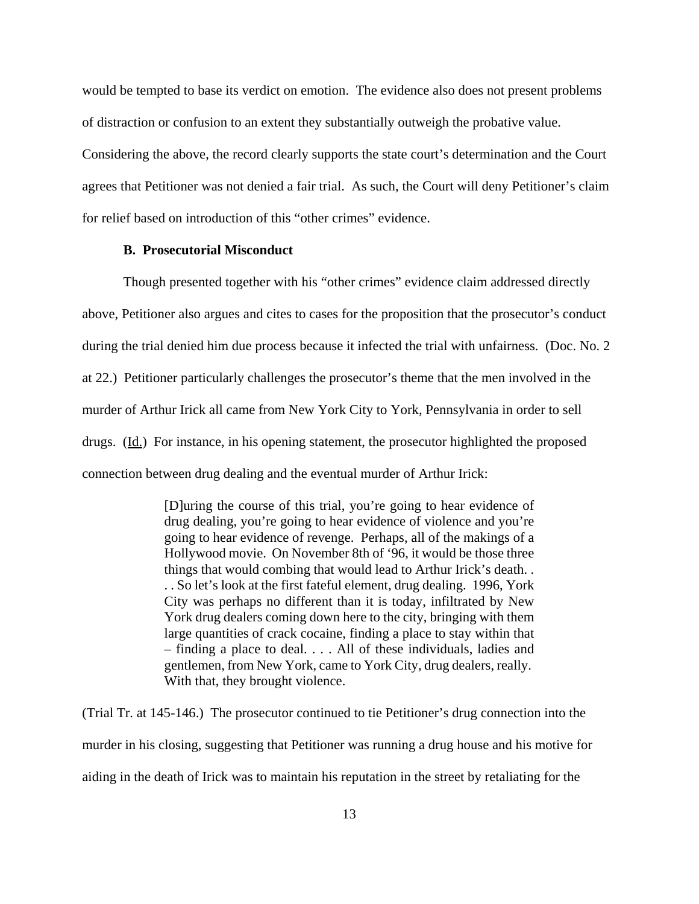would be tempted to base its verdict on emotion. The evidence also does not present problems of distraction or confusion to an extent they substantially outweigh the probative value.

Considering the above, the record clearly supports the state court's determination and the Court agrees that Petitioner was not denied a fair trial. As such, the Court will deny Petitioner's claim for relief based on introduction of this "other crimes" evidence.

#### **B. Prosecutorial Misconduct**

Though presented together with his "other crimes" evidence claim addressed directly above, Petitioner also argues and cites to cases for the proposition that the prosecutor's conduct during the trial denied him due process because it infected the trial with unfairness. (Doc. No. 2 at 22.) Petitioner particularly challenges the prosecutor's theme that the men involved in the murder of Arthur Irick all came from New York City to York, Pennsylvania in order to sell drugs. (Id.) For instance, in his opening statement, the prosecutor highlighted the proposed connection between drug dealing and the eventual murder of Arthur Irick:

> [D]uring the course of this trial, you're going to hear evidence of drug dealing, you're going to hear evidence of violence and you're going to hear evidence of revenge. Perhaps, all of the makings of a Hollywood movie. On November 8th of '96, it would be those three things that would combing that would lead to Arthur Irick's death. . . . So let's look at the first fateful element, drug dealing. 1996, York City was perhaps no different than it is today, infiltrated by New York drug dealers coming down here to the city, bringing with them large quantities of crack cocaine, finding a place to stay within that – finding a place to deal. . . . All of these individuals, ladies and gentlemen, from New York, came to York City, drug dealers, really. With that, they brought violence.

(Trial Tr. at 145-146.) The prosecutor continued to tie Petitioner's drug connection into the murder in his closing, suggesting that Petitioner was running a drug house and his motive for aiding in the death of Irick was to maintain his reputation in the street by retaliating for the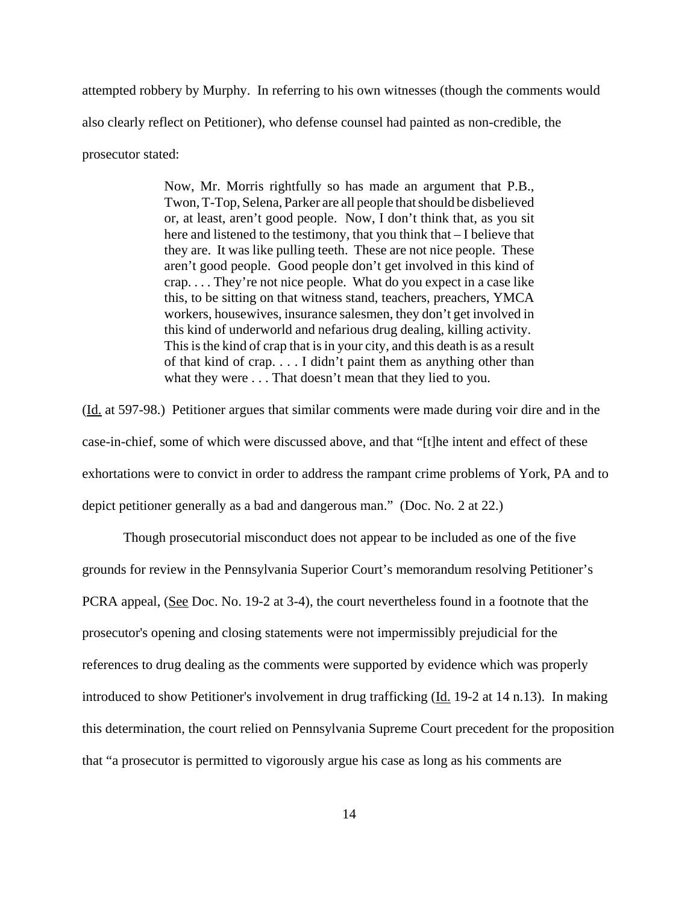attempted robbery by Murphy. In referring to his own witnesses (though the comments would also clearly reflect on Petitioner), who defense counsel had painted as non-credible, the prosecutor stated:

> Now, Mr. Morris rightfully so has made an argument that P.B., Twon, T-Top, Selena, Parker are all people that should be disbelieved or, at least, aren't good people. Now, I don't think that, as you sit here and listened to the testimony, that you think that – I believe that they are. It was like pulling teeth. These are not nice people. These aren't good people. Good people don't get involved in this kind of crap. . . . They're not nice people. What do you expect in a case like this, to be sitting on that witness stand, teachers, preachers, YMCA workers, housewives, insurance salesmen, they don't get involved in this kind of underworld and nefarious drug dealing, killing activity. This is the kind of crap that is in your city, and this death is as a result of that kind of crap. . . . I didn't paint them as anything other than what they were . . . That doesn't mean that they lied to you.

(Id. at 597-98.) Petitioner argues that similar comments were made during voir dire and in the case-in-chief, some of which were discussed above, and that "[t]he intent and effect of these exhortations were to convict in order to address the rampant crime problems of York, PA and to depict petitioner generally as a bad and dangerous man." (Doc. No. 2 at 22.)

Though prosecutorial misconduct does not appear to be included as one of the five grounds for review in the Pennsylvania Superior Court's memorandum resolving Petitioner's PCRA appeal, (See Doc. No. 19-2 at 3-4), the court nevertheless found in a footnote that the prosecutor's opening and closing statements were not impermissibly prejudicial for the references to drug dealing as the comments were supported by evidence which was properly introduced to show Petitioner's involvement in drug trafficking (Id. 19-2 at 14 n.13). In making this determination, the court relied on Pennsylvania Supreme Court precedent for the proposition that "a prosecutor is permitted to vigorously argue his case as long as his comments are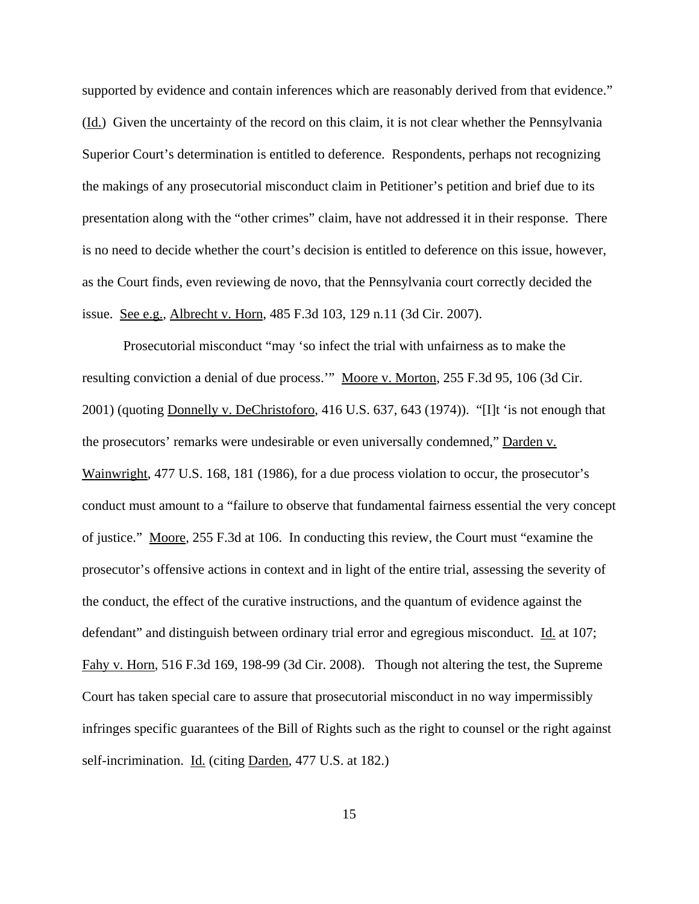supported by evidence and contain inferences which are reasonably derived from that evidence." (Id.) Given the uncertainty of the record on this claim, it is not clear whether the Pennsylvania Superior Court's determination is entitled to deference. Respondents, perhaps not recognizing the makings of any prosecutorial misconduct claim in Petitioner's petition and brief due to its presentation along with the "other crimes" claim, have not addressed it in their response. There is no need to decide whether the court's decision is entitled to deference on this issue, however, as the Court finds, even reviewing de novo, that the Pennsylvania court correctly decided the issue. See e.g., Albrecht v. Horn, 485 F.3d 103, 129 n.11 (3d Cir. 2007).

Prosecutorial misconduct "may 'so infect the trial with unfairness as to make the resulting conviction a denial of due process."" Moore v. Morton, 255 F.3d 95, 106 (3d Cir. 2001) (quoting Donnelly v. DeChristoforo, 416 U.S. 637, 643 (1974)). "[I]t 'is not enough that the prosecutors' remarks were undesirable or even universally condemned," Darden v. Wainwright, 477 U.S. 168, 181 (1986), for a due process violation to occur, the prosecutor's conduct must amount to a "failure to observe that fundamental fairness essential the very concept of justice." Moore, 255 F.3d at 106. In conducting this review, the Court must "examine the prosecutor's offensive actions in context and in light of the entire trial, assessing the severity of the conduct, the effect of the curative instructions, and the quantum of evidence against the defendant" and distinguish between ordinary trial error and egregious misconduct. Id. at 107; Fahy v. Horn, 516 F.3d 169, 198-99 (3d Cir. 2008). Though not altering the test, the Supreme Court has taken special care to assure that prosecutorial misconduct in no way impermissibly infringes specific guarantees of the Bill of Rights such as the right to counsel or the right against self-incrimination. Id. (citing Darden, 477 U.S. at 182.)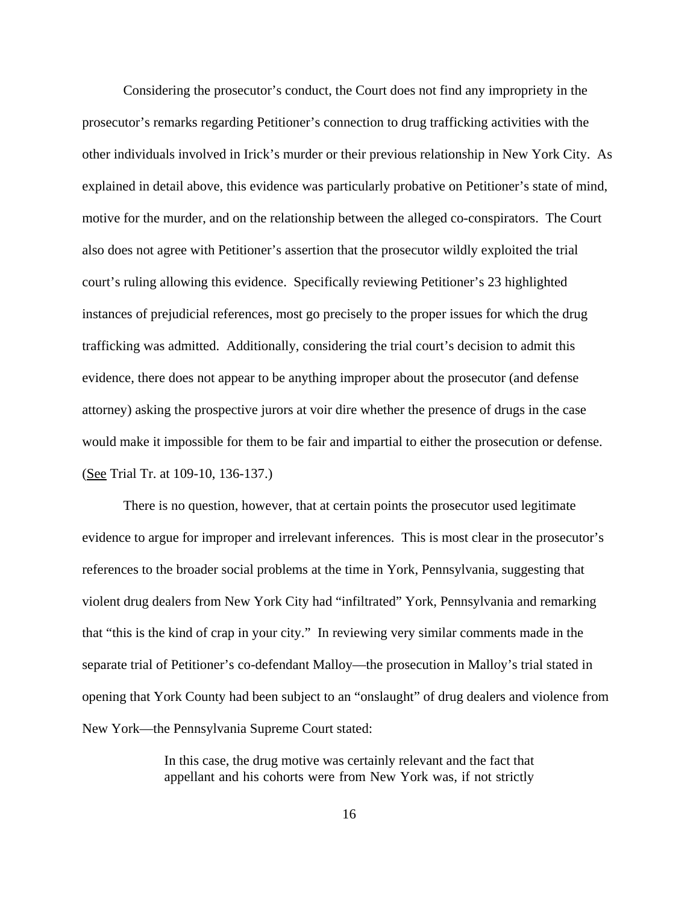Considering the prosecutor's conduct, the Court does not find any impropriety in the prosecutor's remarks regarding Petitioner's connection to drug trafficking activities with the other individuals involved in Irick's murder or their previous relationship in New York City. As explained in detail above, this evidence was particularly probative on Petitioner's state of mind, motive for the murder, and on the relationship between the alleged co-conspirators. The Court also does not agree with Petitioner's assertion that the prosecutor wildly exploited the trial court's ruling allowing this evidence. Specifically reviewing Petitioner's 23 highlighted instances of prejudicial references, most go precisely to the proper issues for which the drug trafficking was admitted. Additionally, considering the trial court's decision to admit this evidence, there does not appear to be anything improper about the prosecutor (and defense attorney) asking the prospective jurors at voir dire whether the presence of drugs in the case would make it impossible for them to be fair and impartial to either the prosecution or defense. (See Trial Tr. at 109-10, 136-137.)

There is no question, however, that at certain points the prosecutor used legitimate evidence to argue for improper and irrelevant inferences. This is most clear in the prosecutor's references to the broader social problems at the time in York, Pennsylvania, suggesting that violent drug dealers from New York City had "infiltrated" York, Pennsylvania and remarking that "this is the kind of crap in your city." In reviewing very similar comments made in the separate trial of Petitioner's co-defendant Malloy—the prosecution in Malloy's trial stated in opening that York County had been subject to an "onslaught" of drug dealers and violence from New York—the Pennsylvania Supreme Court stated:

> In this case, the drug motive was certainly relevant and the fact that appellant and his cohorts were from New York was, if not strictly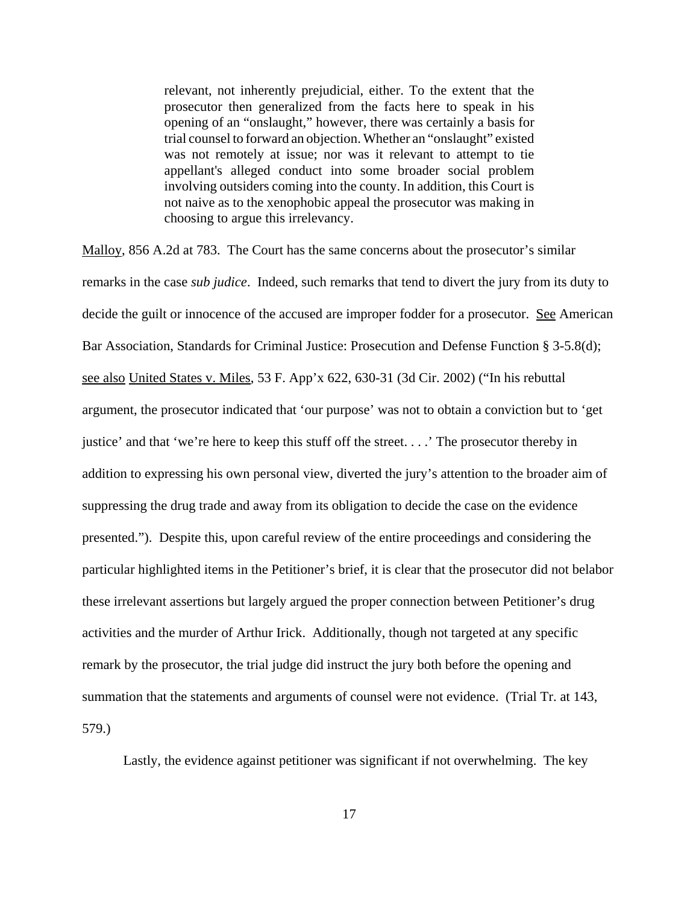relevant, not inherently prejudicial, either. To the extent that the prosecutor then generalized from the facts here to speak in his opening of an "onslaught," however, there was certainly a basis for trial counsel to forward an objection. Whether an "onslaught" existed was not remotely at issue; nor was it relevant to attempt to tie appellant's alleged conduct into some broader social problem involving outsiders coming into the county. In addition, this Court is not naive as to the xenophobic appeal the prosecutor was making in choosing to argue this irrelevancy.

Malloy, 856 A.2d at 783. The Court has the same concerns about the prosecutor's similar remarks in the case *sub judice*. Indeed, such remarks that tend to divert the jury from its duty to decide the guilt or innocence of the accused are improper fodder for a prosecutor. See American Bar Association, Standards for Criminal Justice: Prosecution and Defense Function § 3-5.8(d); see also United States v. Miles, 53 F. App'x 622, 630-31 (3d Cir. 2002) ("In his rebuttal argument, the prosecutor indicated that 'our purpose' was not to obtain a conviction but to 'get justice' and that 'we're here to keep this stuff off the street. . . .' The prosecutor thereby in addition to expressing his own personal view, diverted the jury's attention to the broader aim of suppressing the drug trade and away from its obligation to decide the case on the evidence presented."). Despite this, upon careful review of the entire proceedings and considering the particular highlighted items in the Petitioner's brief, it is clear that the prosecutor did not belabor these irrelevant assertions but largely argued the proper connection between Petitioner's drug activities and the murder of Arthur Irick. Additionally, though not targeted at any specific remark by the prosecutor, the trial judge did instruct the jury both before the opening and summation that the statements and arguments of counsel were not evidence. (Trial Tr. at 143, 579.)

Lastly, the evidence against petitioner was significant if not overwhelming. The key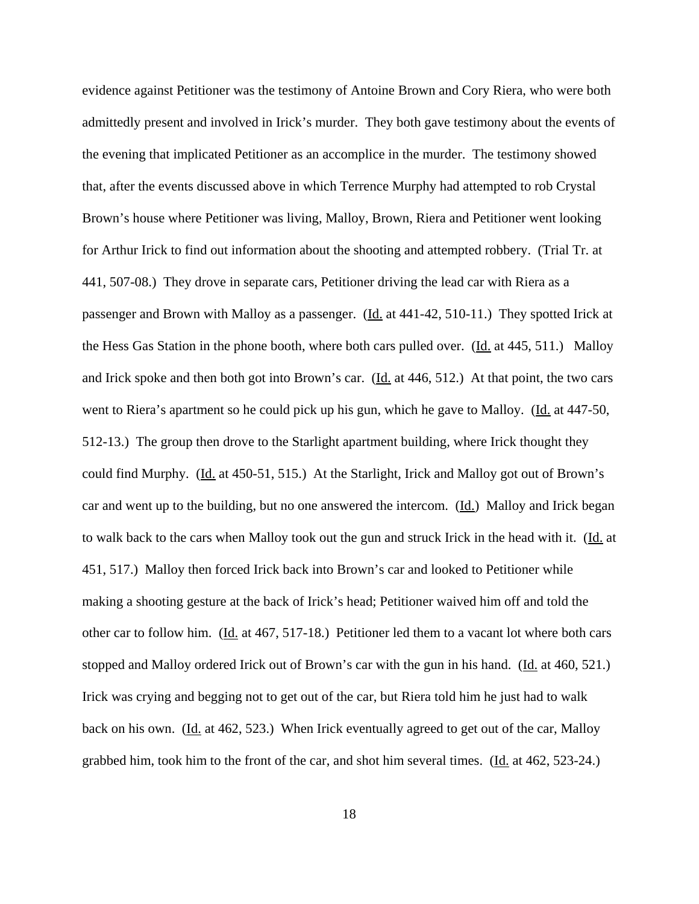evidence against Petitioner was the testimony of Antoine Brown and Cory Riera, who were both admittedly present and involved in Irick's murder. They both gave testimony about the events of the evening that implicated Petitioner as an accomplice in the murder. The testimony showed that, after the events discussed above in which Terrence Murphy had attempted to rob Crystal Brown's house where Petitioner was living, Malloy, Brown, Riera and Petitioner went looking for Arthur Irick to find out information about the shooting and attempted robbery. (Trial Tr. at 441, 507-08.) They drove in separate cars, Petitioner driving the lead car with Riera as a passenger and Brown with Malloy as a passenger. (Id. at 441-42, 510-11.) They spotted Irick at the Hess Gas Station in the phone booth, where both cars pulled over. (Id. at 445, 511.) Malloy and Irick spoke and then both got into Brown's car. (Id. at 446, 512.) At that point, the two cars went to Riera's apartment so he could pick up his gun, which he gave to Malloy. (Id. at 447-50, 512-13.) The group then drove to the Starlight apartment building, where Irick thought they could find Murphy. (Id. at 450-51, 515.) At the Starlight, Irick and Malloy got out of Brown's car and went up to the building, but no one answered the intercom. (Id.) Malloy and Irick began to walk back to the cars when Malloy took out the gun and struck Irick in the head with it. (Id. at 451, 517.) Malloy then forced Irick back into Brown's car and looked to Petitioner while making a shooting gesture at the back of Irick's head; Petitioner waived him off and told the other car to follow him. (Id. at 467, 517-18.) Petitioner led them to a vacant lot where both cars stopped and Malloy ordered Irick out of Brown's car with the gun in his hand. (Id. at 460, 521.) Irick was crying and begging not to get out of the car, but Riera told him he just had to walk back on his own. (Id. at 462, 523.) When Irick eventually agreed to get out of the car, Malloy grabbed him, took him to the front of the car, and shot him several times. (Id. at 462, 523-24.)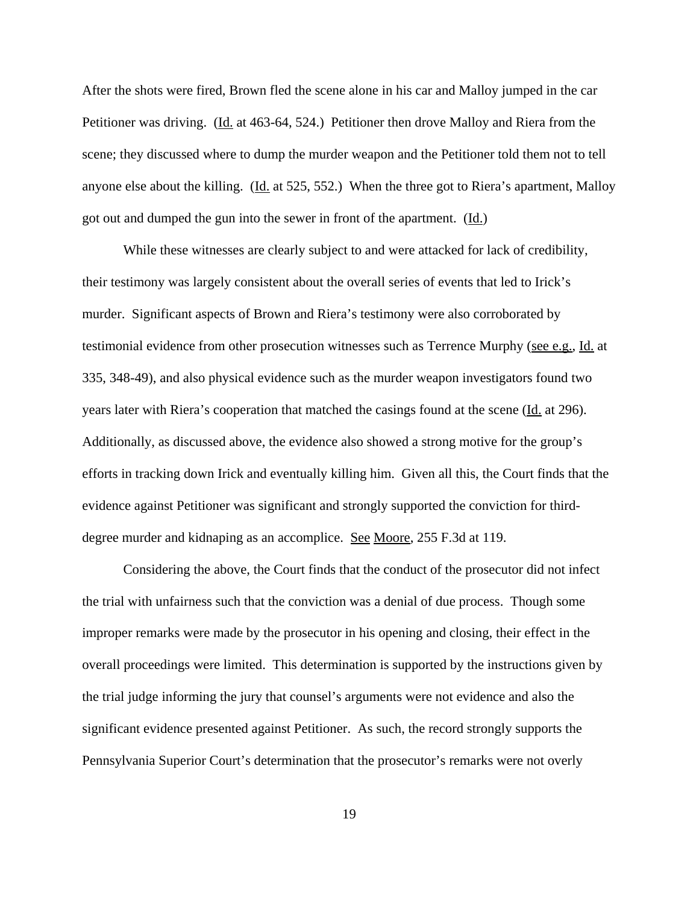After the shots were fired, Brown fled the scene alone in his car and Malloy jumped in the car Petitioner was driving. (Id. at 463-64, 524.) Petitioner then drove Malloy and Riera from the scene; they discussed where to dump the murder weapon and the Petitioner told them not to tell anyone else about the killing. (Id. at 525, 552.) When the three got to Riera's apartment, Malloy got out and dumped the gun into the sewer in front of the apartment.  $(\underline{Id})$ 

While these witnesses are clearly subject to and were attacked for lack of credibility, their testimony was largely consistent about the overall series of events that led to Irick's murder. Significant aspects of Brown and Riera's testimony were also corroborated by testimonial evidence from other prosecution witnesses such as Terrence Murphy (see e.g., Id. at 335, 348-49), and also physical evidence such as the murder weapon investigators found two years later with Riera's cooperation that matched the casings found at the scene (Id. at 296). Additionally, as discussed above, the evidence also showed a strong motive for the group's efforts in tracking down Irick and eventually killing him. Given all this, the Court finds that the evidence against Petitioner was significant and strongly supported the conviction for thirddegree murder and kidnaping as an accomplice. See Moore, 255 F.3d at 119.

Considering the above, the Court finds that the conduct of the prosecutor did not infect the trial with unfairness such that the conviction was a denial of due process. Though some improper remarks were made by the prosecutor in his opening and closing, their effect in the overall proceedings were limited. This determination is supported by the instructions given by the trial judge informing the jury that counsel's arguments were not evidence and also the significant evidence presented against Petitioner. As such, the record strongly supports the Pennsylvania Superior Court's determination that the prosecutor's remarks were not overly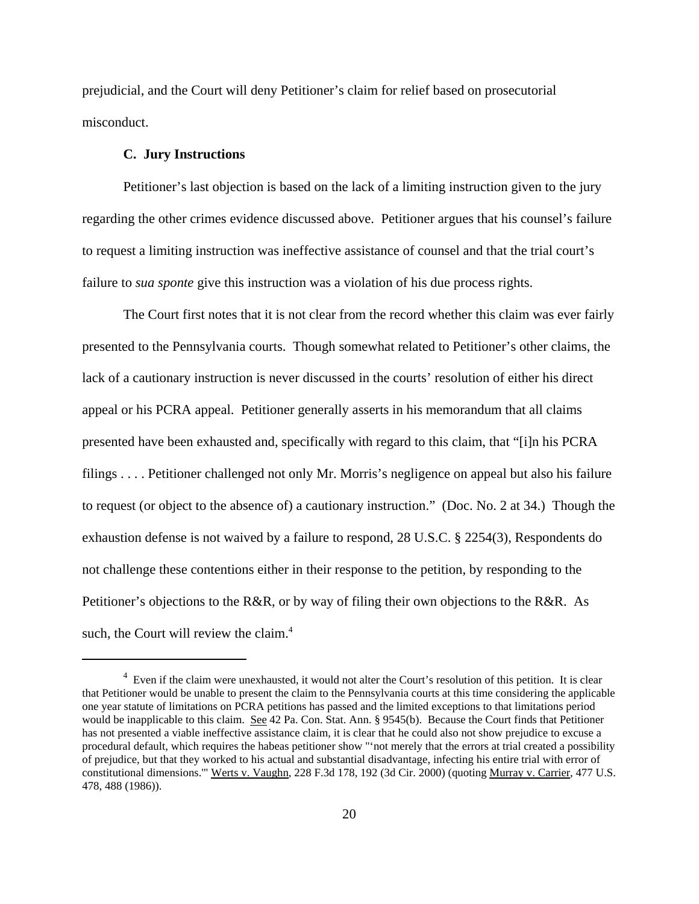prejudicial, and the Court will deny Petitioner's claim for relief based on prosecutorial misconduct.

#### **C. Jury Instructions**

Petitioner's last objection is based on the lack of a limiting instruction given to the jury regarding the other crimes evidence discussed above. Petitioner argues that his counsel's failure to request a limiting instruction was ineffective assistance of counsel and that the trial court's failure to *sua sponte* give this instruction was a violation of his due process rights.

The Court first notes that it is not clear from the record whether this claim was ever fairly presented to the Pennsylvania courts. Though somewhat related to Petitioner's other claims, the lack of a cautionary instruction is never discussed in the courts' resolution of either his direct appeal or his PCRA appeal. Petitioner generally asserts in his memorandum that all claims presented have been exhausted and, specifically with regard to this claim, that "[i]n his PCRA filings . . . . Petitioner challenged not only Mr. Morris's negligence on appeal but also his failure to request (or object to the absence of) a cautionary instruction." (Doc. No. 2 at 34.) Though the exhaustion defense is not waived by a failure to respond, 28 U.S.C. § 2254(3), Respondents do not challenge these contentions either in their response to the petition, by responding to the Petitioner's objections to the R&R, or by way of filing their own objections to the R&R. As such, the Court will review the claim.<sup>4</sup>

<sup>&</sup>lt;sup>4</sup> Even if the claim were unexhausted, it would not alter the Court's resolution of this petition. It is clear that Petitioner would be unable to present the claim to the Pennsylvania courts at this time considering the applicable one year statute of limitations on PCRA petitions has passed and the limited exceptions to that limitations period would be inapplicable to this claim. See 42 Pa. Con. Stat. Ann. § 9545(b). Because the Court finds that Petitioner has not presented a viable ineffective assistance claim, it is clear that he could also not show prejudice to excuse a procedural default, which requires the habeas petitioner show "'not merely that the errors at trial created a possibility of prejudice, but that they worked to his actual and substantial disadvantage, infecting his entire trial with error of constitutional dimensions.'" Werts v. Vaughn, 228 F.3d 178, 192 (3d Cir. 2000) (quoting Murray v. Carrier, 477 U.S. 478, 488 (1986)).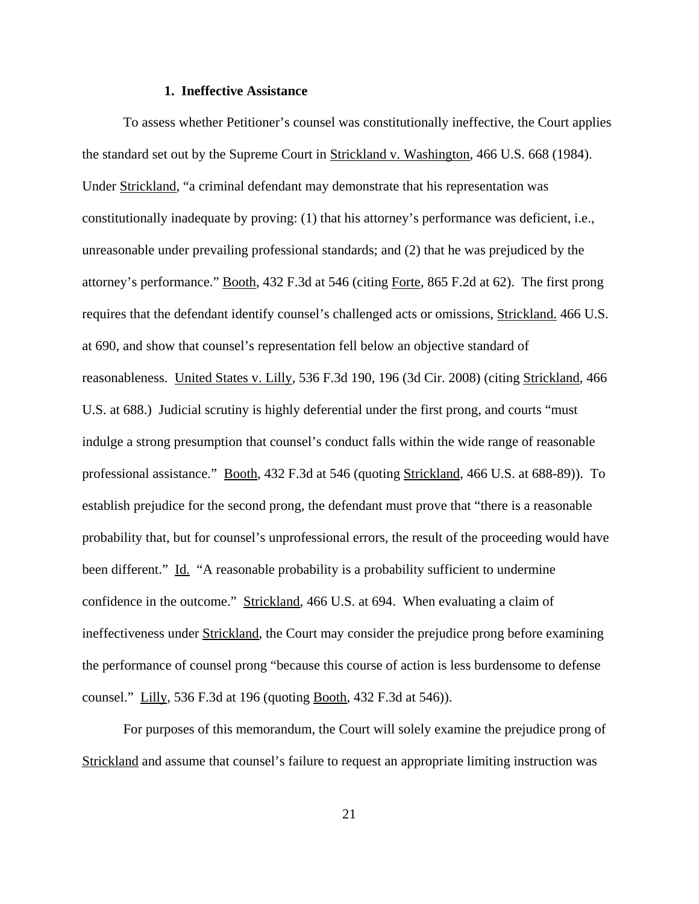#### **1. Ineffective Assistance**

To assess whether Petitioner's counsel was constitutionally ineffective, the Court applies the standard set out by the Supreme Court in Strickland v. Washington, 466 U.S. 668 (1984). Under Strickland, "a criminal defendant may demonstrate that his representation was constitutionally inadequate by proving: (1) that his attorney's performance was deficient, i.e., unreasonable under prevailing professional standards; and (2) that he was prejudiced by the attorney's performance." Booth, 432 F.3d at 546 (citing Forte, 865 F.2d at 62). The first prong requires that the defendant identify counsel's challenged acts or omissions, Strickland. 466 U.S. at 690, and show that counsel's representation fell below an objective standard of reasonableness. United States v. Lilly, 536 F.3d 190, 196 (3d Cir. 2008) (citing Strickland, 466 U.S. at 688.) Judicial scrutiny is highly deferential under the first prong, and courts "must indulge a strong presumption that counsel's conduct falls within the wide range of reasonable professional assistance." Booth, 432 F.3d at 546 (quoting Strickland, 466 U.S. at 688-89)). To establish prejudice for the second prong, the defendant must prove that "there is a reasonable probability that, but for counsel's unprofessional errors, the result of the proceeding would have been different." Id. "A reasonable probability is a probability sufficient to undermine confidence in the outcome." Strickland, 466 U.S. at 694. When evaluating a claim of ineffectiveness under Strickland, the Court may consider the prejudice prong before examining the performance of counsel prong "because this course of action is less burdensome to defense counsel." Lilly, 536 F.3d at 196 (quoting Booth, 432 F.3d at 546)).

For purposes of this memorandum, the Court will solely examine the prejudice prong of Strickland and assume that counsel's failure to request an appropriate limiting instruction was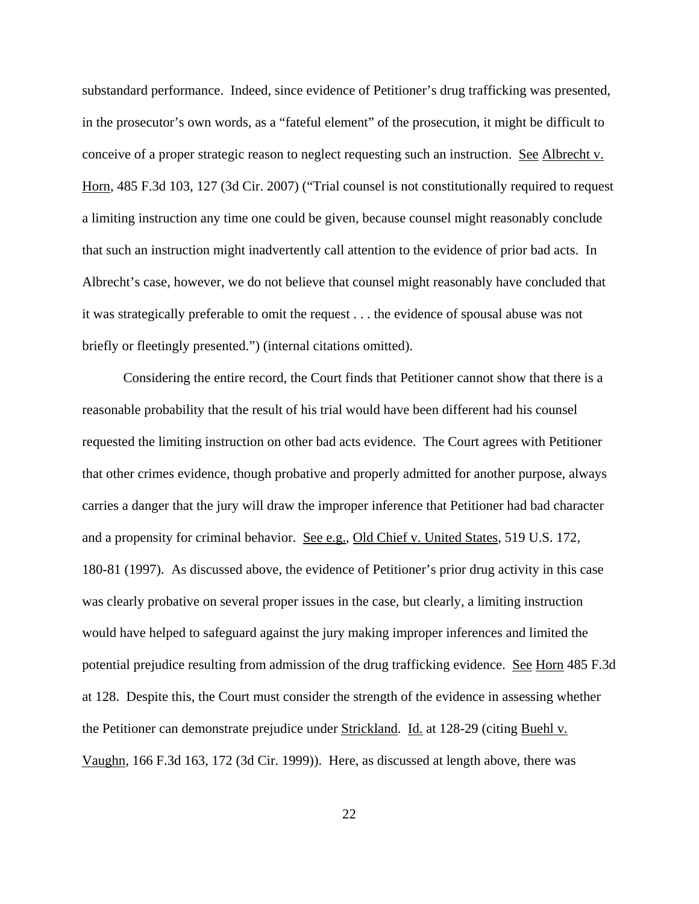substandard performance. Indeed, since evidence of Petitioner's drug trafficking was presented, in the prosecutor's own words, as a "fateful element" of the prosecution, it might be difficult to conceive of a proper strategic reason to neglect requesting such an instruction. See Albrecht v. Horn, 485 F.3d 103, 127 (3d Cir. 2007) ("Trial counsel is not constitutionally required to request a limiting instruction any time one could be given, because counsel might reasonably conclude that such an instruction might inadvertently call attention to the evidence of prior bad acts. In Albrecht's case, however, we do not believe that counsel might reasonably have concluded that it was strategically preferable to omit the request . . . the evidence of spousal abuse was not briefly or fleetingly presented.") (internal citations omitted).

Considering the entire record, the Court finds that Petitioner cannot show that there is a reasonable probability that the result of his trial would have been different had his counsel requested the limiting instruction on other bad acts evidence. The Court agrees with Petitioner that other crimes evidence, though probative and properly admitted for another purpose, always carries a danger that the jury will draw the improper inference that Petitioner had bad character and a propensity for criminal behavior. See e.g., Old Chief v. United States, 519 U.S. 172, 180-81 (1997). As discussed above, the evidence of Petitioner's prior drug activity in this case was clearly probative on several proper issues in the case, but clearly, a limiting instruction would have helped to safeguard against the jury making improper inferences and limited the potential prejudice resulting from admission of the drug trafficking evidence. See Horn 485 F.3d at 128. Despite this, the Court must consider the strength of the evidence in assessing whether the Petitioner can demonstrate prejudice under Strickland. Id. at 128-29 (citing Buehl v. Vaughn, 166 F.3d 163, 172 (3d Cir. 1999)). Here, as discussed at length above, there was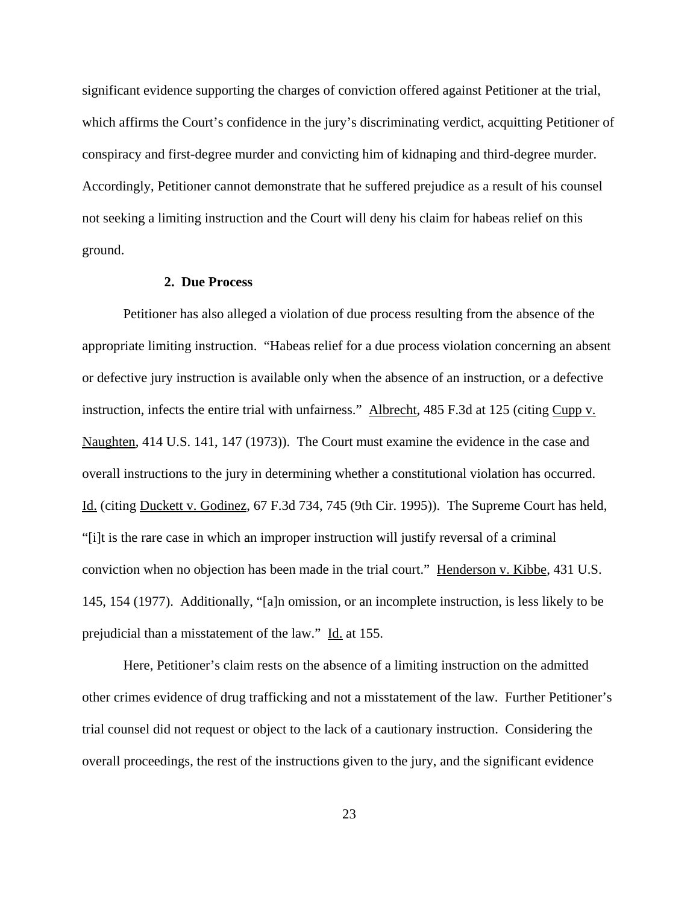significant evidence supporting the charges of conviction offered against Petitioner at the trial, which affirms the Court's confidence in the jury's discriminating verdict, acquitting Petitioner of conspiracy and first-degree murder and convicting him of kidnaping and third-degree murder. Accordingly, Petitioner cannot demonstrate that he suffered prejudice as a result of his counsel not seeking a limiting instruction and the Court will deny his claim for habeas relief on this ground.

## **2. Due Process**

Petitioner has also alleged a violation of due process resulting from the absence of the appropriate limiting instruction. "Habeas relief for a due process violation concerning an absent or defective jury instruction is available only when the absence of an instruction, or a defective instruction, infects the entire trial with unfairness." Albrecht, 485 F.3d at 125 (citing Cupp v. Naughten, 414 U.S. 141, 147 (1973)). The Court must examine the evidence in the case and overall instructions to the jury in determining whether a constitutional violation has occurred. Id. (citing Duckett v. Godinez, 67 F.3d 734, 745 (9th Cir. 1995)). The Supreme Court has held, "[i]t is the rare case in which an improper instruction will justify reversal of a criminal conviction when no objection has been made in the trial court." Henderson v. Kibbe, 431 U.S. 145, 154 (1977). Additionally, "[a]n omission, or an incomplete instruction, is less likely to be prejudicial than a misstatement of the law." Id. at 155.

Here, Petitioner's claim rests on the absence of a limiting instruction on the admitted other crimes evidence of drug trafficking and not a misstatement of the law. Further Petitioner's trial counsel did not request or object to the lack of a cautionary instruction. Considering the overall proceedings, the rest of the instructions given to the jury, and the significant evidence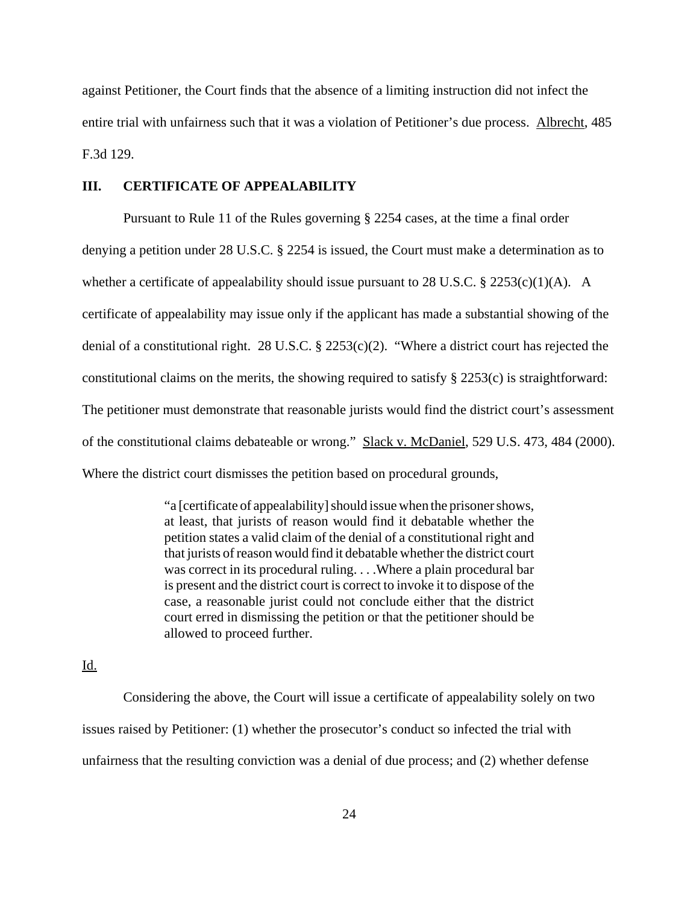against Petitioner, the Court finds that the absence of a limiting instruction did not infect the entire trial with unfairness such that it was a violation of Petitioner's due process. Albrecht, 485 F.3d 129.

## **III. CERTIFICATE OF APPEALABILITY**

Pursuant to Rule 11 of the Rules governing § 2254 cases, at the time a final order denying a petition under 28 U.S.C. § 2254 is issued, the Court must make a determination as to whether a certificate of appealability should issue pursuant to 28 U.S.C.  $\S$  2253(c)(1)(A). A certificate of appealability may issue only if the applicant has made a substantial showing of the denial of a constitutional right. 28 U.S.C. § 2253(c)(2). "Where a district court has rejected the constitutional claims on the merits, the showing required to satisfy  $\S 2253(c)$  is straightforward: The petitioner must demonstrate that reasonable jurists would find the district court's assessment of the constitutional claims debateable or wrong." Slack v. McDaniel, 529 U.S. 473, 484 (2000). Where the district court dismisses the petition based on procedural grounds,

> "a [certificate of appealability] should issue when the prisoner shows, at least, that jurists of reason would find it debatable whether the petition states a valid claim of the denial of a constitutional right and that jurists of reason would find it debatable whether the district court was correct in its procedural ruling. . . .Where a plain procedural bar is present and the district court is correct to invoke it to dispose of the case, a reasonable jurist could not conclude either that the district court erred in dismissing the petition or that the petitioner should be allowed to proceed further.

# Id.

Considering the above, the Court will issue a certificate of appealability solely on two issues raised by Petitioner: (1) whether the prosecutor's conduct so infected the trial with unfairness that the resulting conviction was a denial of due process; and (2) whether defense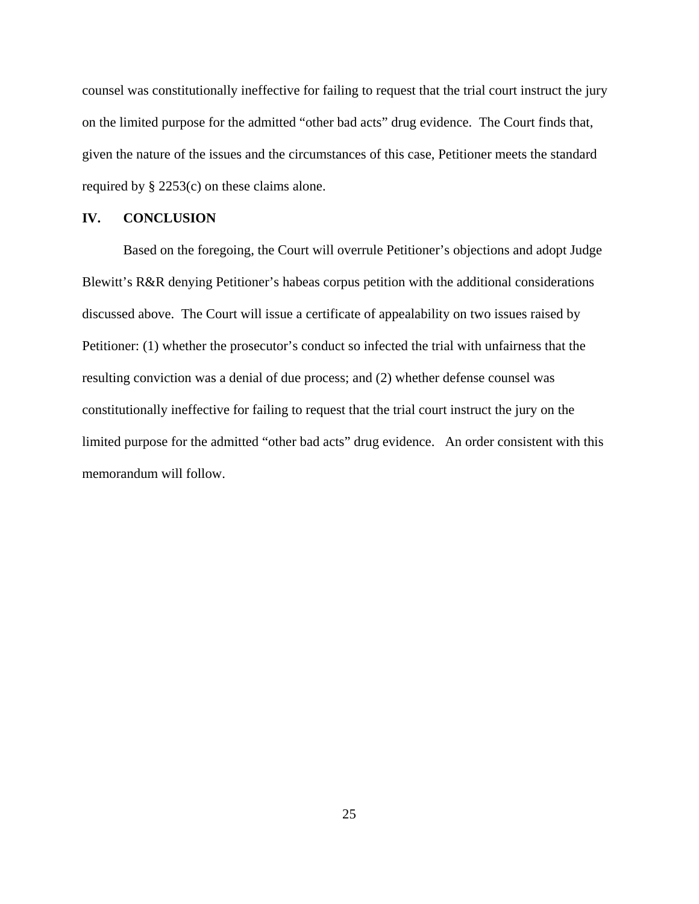counsel was constitutionally ineffective for failing to request that the trial court instruct the jury on the limited purpose for the admitted "other bad acts" drug evidence. The Court finds that, given the nature of the issues and the circumstances of this case, Petitioner meets the standard required by § 2253(c) on these claims alone.

#### **IV. CONCLUSION**

Based on the foregoing, the Court will overrule Petitioner's objections and adopt Judge Blewitt's R&R denying Petitioner's habeas corpus petition with the additional considerations discussed above. The Court will issue a certificate of appealability on two issues raised by Petitioner: (1) whether the prosecutor's conduct so infected the trial with unfairness that the resulting conviction was a denial of due process; and (2) whether defense counsel was constitutionally ineffective for failing to request that the trial court instruct the jury on the limited purpose for the admitted "other bad acts" drug evidence. An order consistent with this memorandum will follow.